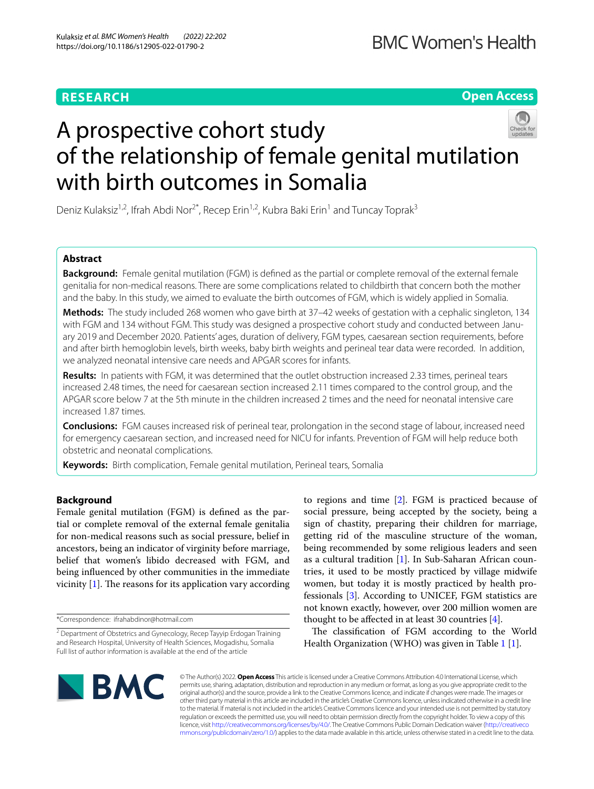# **RESEARCH**

**Open Access**

# A prospective cohort study of the relationship of female genital mutilation with birth outcomes in Somalia

Deniz Kulaksiz<sup>1,2</sup>, Ifrah Abdi Nor<sup>2\*</sup>, Recep Erin<sup>1,2</sup>, Kubra Baki Erin<sup>1</sup> and Tuncay Toprak<sup>3</sup>

# **Abstract**

**Background:** Female genital mutilation (FGM) is defned as the partial or complete removal of the external female genitalia for non-medical reasons. There are some complications related to childbirth that concern both the mother and the baby. In this study, we aimed to evaluate the birth outcomes of FGM, which is widely applied in Somalia.

**Methods:** The study included 268 women who gave birth at 37–42 weeks of gestation with a cephalic singleton, 134 with FGM and 134 without FGM. This study was designed a prospective cohort study and conducted between January 2019 and December 2020. Patients' ages, duration of delivery, FGM types, caesarean section requirements, before and after birth hemoglobin levels, birth weeks, baby birth weights and perineal tear data were recorded. In addition, we analyzed neonatal intensive care needs and APGAR scores for infants.

**Results:** In patients with FGM, it was determined that the outlet obstruction increased 2.33 times, perineal tears increased 2.48 times, the need for caesarean section increased 2.11 times compared to the control group, and the APGAR score below 7 at the 5th minute in the children increased 2 times and the need for neonatal intensive care increased 1.87 times.

**Conclusions:** FGM causes increased risk of perineal tear, prolongation in the second stage of labour, increased need for emergency caesarean section, and increased need for NICU for infants. Prevention of FGM will help reduce both obstetric and neonatal complications.

**Keywords:** Birth complication, Female genital mutilation, Perineal tears, Somalia

# **Background**

Female genital mutilation (FGM) is defned as the partial or complete removal of the external female genitalia for non-medical reasons such as social pressure, belief in ancestors, being an indicator of virginity before marriage, belief that women's libido decreased with FGM, and being infuenced by other communities in the immediate vicinity  $[1]$  $[1]$ . The reasons for its application vary according

\*Correspondence: ifrahabdinor@hotmail.com

to regions and time [\[2](#page-4-1)]. FGM is practiced because of social pressure, being accepted by the society, being a sign of chastity, preparing their children for marriage, getting rid of the masculine structure of the woman, being recommended by some religious leaders and seen as a cultural tradition [[1\]](#page-4-0). In Sub-Saharan African countries, it used to be mostly practiced by village midwife women, but today it is mostly practiced by health professionals [\[3](#page-4-2)]. According to UNICEF, FGM statistics are not known exactly, however, over 200 million women are thought to be affected in at least 30 countries  $[4]$  $[4]$ .

The classification of FGM according to the World Health Organization (WHO) was given in Table [1](#page-1-0) [[1\]](#page-4-0).



© The Author(s) 2022. **Open Access** This article is licensed under a Creative Commons Attribution 4.0 International License, which permits use, sharing, adaptation, distribution and reproduction in any medium or format, as long as you give appropriate credit to the original author(s) and the source, provide a link to the Creative Commons licence, and indicate if changes were made. The images or other third party material in this article are included in the article's Creative Commons licence, unless indicated otherwise in a credit line to the material. If material is not included in the article's Creative Commons licence and your intended use is not permitted by statutory regulation or exceeds the permitted use, you will need to obtain permission directly from the copyright holder. To view a copy of this licence, visit [http://creativecommons.org/licenses/by/4.0/.](http://creativecommons.org/licenses/by/4.0/) The Creative Commons Public Domain Dedication waiver ([http://creativeco](http://creativecommons.org/publicdomain/zero/1.0/) [mmons.org/publicdomain/zero/1.0/](http://creativecommons.org/publicdomain/zero/1.0/)) applies to the data made available in this article, unless otherwise stated in a credit line to the data.

<sup>&</sup>lt;sup>2</sup> Department of Obstetrics and Gynecology, Recep Tayyip Erdogan Training and Research Hospital, University of Health Sciences, Mogadishu, Somalia Full list of author information is available at the end of the article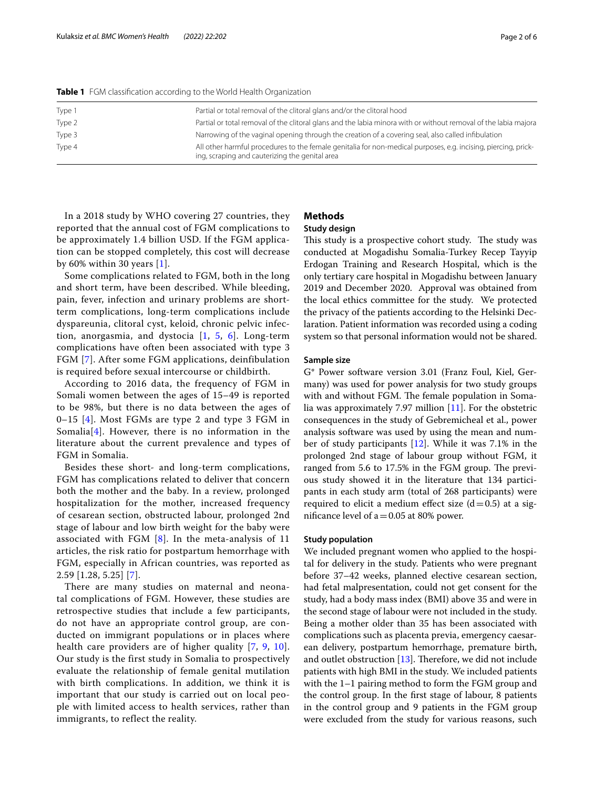In a 2018 study by WHO covering 27 countries, they reported that the annual cost of FGM complications to be approximately 1.4 billion USD. If the FGM application can be stopped completely, this cost will decrease by 60% within 30 years [[1\]](#page-4-0).

Some complications related to FGM, both in the long and short term, have been described. While bleeding, pain, fever, infection and urinary problems are shortterm complications, long-term complications include dyspareunia, clitoral cyst, keloid, chronic pelvic infection, anorgasmia, and dystocia [\[1](#page-4-0), [5](#page-4-4), [6\]](#page-4-5). Long-term complications have often been associated with type 3 FGM [[7](#page-4-6)]. After some FGM applications, deinfibulation is required before sexual intercourse or childbirth.

According to 2016 data, the frequency of FGM in Somali women between the ages of 15–49 is reported to be 98%, but there is no data between the ages of  $0-15$  [\[4\]](#page-4-3). Most FGMs are type 2 and type 3 FGM in Somalia<sup>[[4](#page-4-3)]</sup>. However, there is no information in the literature about the current prevalence and types of FGM in Somalia.

Besides these short- and long-term complications, FGM has complications related to deliver that concern both the mother and the baby. In a review, prolonged hospitalization for the mother, increased frequency of cesarean section, obstructed labour, prolonged 2nd stage of labour and low birth weight for the baby were associated with FGM  $[8]$  $[8]$ . In the meta-analysis of 11 articles, the risk ratio for postpartum hemorrhage with FGM, especially in African countries, was reported as 2.59 [1.28, 5.25] [[7](#page-4-6)].

There are many studies on maternal and neonatal complications of FGM. However, these studies are retrospective studies that include a few participants, do not have an appropriate control group, are conducted on immigrant populations or in places where health care providers are of higher quality [[7,](#page-4-6) [9](#page-4-8), [10\]](#page-4-9). Our study is the first study in Somalia to prospectively evaluate the relationship of female genital mutilation with birth complications. In addition, we think it is important that our study is carried out on local people with limited access to health services, rather than immigrants, to reflect the reality.

# **Methods**

# **Study design**

This study is a prospective cohort study. The study was conducted at Mogadishu Somalia-Turkey Recep Tayyip Erdogan Training and Research Hospital, which is the only tertiary care hospital in Mogadishu between January 2019 and December 2020. Approval was obtained from the local ethics committee for the study. We protected the privacy of the patients according to the Helsinki Declaration. Patient information was recorded using a coding system so that personal information would not be shared.

#### **Sample size**

G\* Power software version 3.01 (Franz Foul, Kiel, Germany) was used for power analysis for two study groups with and without FGM. The female population in Somalia was approximately 7.97 million [[11\]](#page-4-10). For the obstetric consequences in the study of Gebremicheal et al., power analysis software was used by using the mean and number of study participants [\[12\]](#page-4-11). While it was 7.1% in the prolonged 2nd stage of labour group without FGM, it ranged from 5.6 to 17.5% in the FGM group. The previous study showed it in the literature that 134 participants in each study arm (total of 268 participants) were required to elicit a medium effect size  $(d=0.5)$  at a significance level of  $a = 0.05$  at 80% power.

### **Study population**

We included pregnant women who applied to the hospital for delivery in the study. Patients who were pregnant before 37–42 weeks, planned elective cesarean section, had fetal malpresentation, could not get consent for the study, had a body mass index (BMI) above 35 and were in the second stage of labour were not included in the study. Being a mother older than 35 has been associated with complications such as placenta previa, emergency caesarean delivery, postpartum hemorrhage, premature birth, and outlet obstruction  $[13]$  $[13]$  $[13]$ . Therefore, we did not include patients with high BMI in the study. We included patients with the 1–1 pairing method to form the FGM group and the control group. In the frst stage of labour, 8 patients in the control group and 9 patients in the FGM group were excluded from the study for various reasons, such

<span id="page-1-0"></span>**Table 1** FGM classifcation according to the World Health Organization

| Type 1 | Partial or total removal of the clitoral glans and/or the clitoral hood                                                                                          |
|--------|------------------------------------------------------------------------------------------------------------------------------------------------------------------|
| Type 2 | Partial or total removal of the clitoral glans and the labia minora with or without removal of the labia majora                                                  |
| Type 3 | Narrowing of the vaginal opening through the creation of a covering seal, also called infibulation                                                               |
| Type 4 | All other harmful procedures to the female genitalia for non-medical purposes, e.g. incising, piercing, prick-<br>ing, scraping and cauterizing the genital area |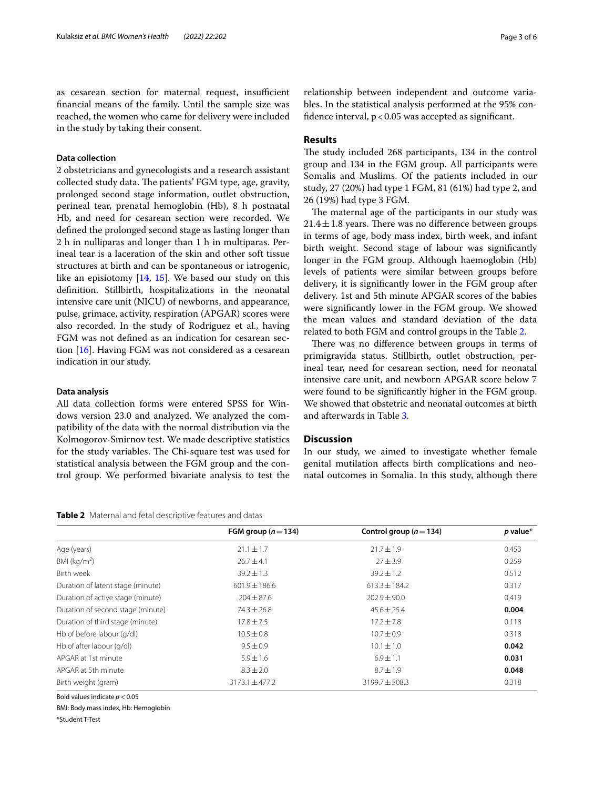as cesarean section for maternal request, insufficient fnancial means of the family. Until the sample size was reached, the women who came for delivery were included in the study by taking their consent.

# **Data collection**

2 obstetricians and gynecologists and a research assistant collected study data. The patients' FGM type, age, gravity, prolonged second stage information, outlet obstruction, perineal tear, prenatal hemoglobin (Hb), 8 h postnatal Hb, and need for cesarean section were recorded. We defned the prolonged second stage as lasting longer than 2 h in nulliparas and longer than 1 h in multiparas. Perineal tear is a laceration of the skin and other soft tissue structures at birth and can be spontaneous or iatrogenic, like an episiotomy [[14,](#page-4-13) [15](#page-4-14)]. We based our study on this defnition. Stillbirth, hospitalizations in the neonatal intensive care unit (NICU) of newborns, and appearance, pulse, grimace, activity, respiration (APGAR) scores were also recorded. In the study of Rodriguez et al., having FGM was not defned as an indication for cesarean section [\[16](#page-4-15)]. Having FGM was not considered as a cesarean indication in our study.

# **Data analysis**

All data collection forms were entered SPSS for Windows version 23.0 and analyzed. We analyzed the compatibility of the data with the normal distribution via the Kolmogorov-Smirnov test. We made descriptive statistics for the study variables. The Chi-square test was used for statistical analysis between the FGM group and the control group. We performed bivariate analysis to test the

#### <span id="page-2-0"></span>**Table 2** Maternal and fetal descriptive features and datas

relationship between independent and outcome variables. In the statistical analysis performed at the 95% confidence interval,  $p < 0.05$  was accepted as significant.

# **Results**

The study included 268 participants, 134 in the control group and 134 in the FGM group. All participants were Somalis and Muslims. Of the patients included in our study, 27 (20%) had type 1 FGM, 81 (61%) had type 2, and 26 (19%) had type 3 FGM.

The maternal age of the participants in our study was  $21.4 \pm 1.8$  years. There was no difference between groups in terms of age, body mass index, birth week, and infant birth weight. Second stage of labour was signifcantly longer in the FGM group. Although haemoglobin (Hb) levels of patients were similar between groups before delivery, it is signifcantly lower in the FGM group after delivery. 1st and 5th minute APGAR scores of the babies were signifcantly lower in the FGM group. We showed the mean values and standard deviation of the data related to both FGM and control groups in the Table [2.](#page-2-0)

There was no difference between groups in terms of primigravida status. Stillbirth, outlet obstruction, perineal tear, need for cesarean section, need for neonatal intensive care unit, and newborn APGAR score below 7 were found to be signifcantly higher in the FGM group. We showed that obstetric and neonatal outcomes at birth and afterwards in Table [3.](#page-3-0)

# **Discussion**

In our study, we aimed to investigate whether female genital mutilation afects birth complications and neonatal outcomes in Somalia. In this study, although there

|                                   | FGM group ( $n = 134$ ) | Control group ( $n = 134$ ) | $p$ value* |
|-----------------------------------|-------------------------|-----------------------------|------------|
| Age (years)                       | $21.1 \pm 1.7$          | $71.7 \pm 1.9$              | 0.453      |
| BMI ( $kg/m2$ )                   | $76.7 + 4.1$            | $27 + 3.9$                  | 0.259      |
| Birth week                        | $39.2 \pm 1.3$          | $39.2 \pm 1.2$              | 0.512      |
| Duration of latent stage (minute) | $601.9 \pm 186.6$       | $613.3 \pm 184.2$           | 0.317      |
| Duration of active stage (minute) | $204 \pm 87.6$          | $202.9 \pm 90.0$            | 0.419      |
| Duration of second stage (minute) | $74.3 \pm 26.8$         | $45.6 \pm 25.4$             | 0.004      |
| Duration of third stage (minute)  | $17.8 \pm 7.5$          | $17.2 \pm 7.8$              | 0.118      |
| Hb of before labour (g/dl)        | $10.5 \pm 0.8$          | $10.7 \pm 0.9$              | 0.318      |
| Hb of after labour (g/dl)         | $9.5 \pm 0.9$           | $10.1 \pm 1.0$              | 0.042      |
| APGAR at 1st minute               | $5.9 \pm 1.6$           | $6.9 \pm 1.1$               | 0.031      |
| APGAR at 5th minute               | $8.3 \pm 2.0$           | $8.7 \pm 1.9$               | 0.048      |
| Birth weight (gram)               | $3173.1 \pm 477.2$      | $3199.7 \pm 508.3$          | 0.318      |

Bold values indicate *p* < 0.05

BMI: Body mass index, Hb: Hemoglobin

\*Student T-Test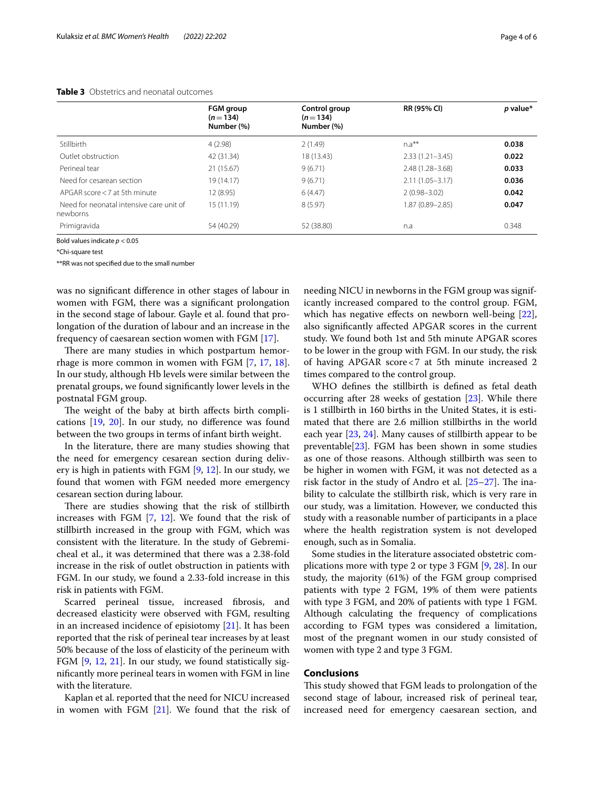#### <span id="page-3-0"></span>**Table 3** Obstetrics and neonatal outcomes

|                                                      | FGM group<br>$(n=134)$<br>Number (%) | Control group<br>$(n=134)$<br>Number (%) | RR (95% CI)         | $p$ value* |
|------------------------------------------------------|--------------------------------------|------------------------------------------|---------------------|------------|
| <b>Stillbirth</b>                                    | 4(2.98)                              | 2(1.49)                                  | $n.a***$            | 0.038      |
| Outlet obstruction                                   | 42 (31.34)                           | 18 (13.43)                               | $2.33(1.21 - 3.45)$ | 0.022      |
| Perineal tear                                        | 21 (15.67)                           | 9(6.71)                                  | $2.48(1.28 - 3.68)$ | 0.033      |
| Need for cesarean section                            | 19(14.17)                            | 9(6.71)                                  | $2.11(1.05 - 3.17)$ | 0.036      |
| APGAR score $<$ 7 at 5th minute                      | 12 (8.95)                            | 6(4.47)                                  | $2(0.98 - 3.02)$    | 0.042      |
| Need for neonatal intensive care unit of<br>newborns | 15(11.19)                            | 8(5.97)                                  | 1.87 (0.89-2.85)    | 0.047      |
| Primigravida                                         | 54 (40.29)                           | 52 (38.80)                               | n.a                 | 0.348      |

Bold values indicate *p* < 0.05

\*Chi-square test

\*\*RR was not specifed due to the small number

was no signifcant diference in other stages of labour in women with FGM, there was a signifcant prolongation in the second stage of labour. Gayle et al. found that prolongation of the duration of labour and an increase in the frequency of caesarean section women with FGM [\[17](#page-4-16)].

There are many studies in which postpartum hemorrhage is more common in women with FGM [[7,](#page-4-6) [17,](#page-4-16) [18](#page-4-17)]. In our study, although Hb levels were similar between the prenatal groups, we found signifcantly lower levels in the postnatal FGM group.

The weight of the baby at birth affects birth complications [\[19,](#page-4-18) [20](#page-4-19)]. In our study, no diference was found between the two groups in terms of infant birth weight.

In the literature, there are many studies showing that the need for emergency cesarean section during delivery is high in patients with FGM [[9,](#page-4-8) [12](#page-4-11)]. In our study, we found that women with FGM needed more emergency cesarean section during labour.

There are studies showing that the risk of stillbirth increases with FGM [\[7](#page-4-6), [12\]](#page-4-11). We found that the risk of stillbirth increased in the group with FGM, which was consistent with the literature. In the study of Gebremicheal et al., it was determined that there was a 2.38-fold increase in the risk of outlet obstruction in patients with FGM. In our study, we found a 2.33-fold increase in this risk in patients with FGM.

Scarred perineal tissue, increased fbrosis, and decreased elasticity were observed with FGM, resulting in an increased incidence of episiotomy [[21\]](#page-4-20). It has been reported that the risk of perineal tear increases by at least 50% because of the loss of elasticity of the perineum with FGM [[9,](#page-4-8) [12,](#page-4-11) [21](#page-4-20)]. In our study, we found statistically signifcantly more perineal tears in women with FGM in line with the literature.

Kaplan et al. reported that the need for NICU increased in women with FGM [[21\]](#page-4-20). We found that the risk of needing NICU in newborns in the FGM group was significantly increased compared to the control group. FGM, which has negative effects on newborn well-being [\[22](#page-4-21)], also signifcantly afected APGAR scores in the current study. We found both 1st and 5th minute APGAR scores to be lower in the group with FGM. In our study, the risk of having APGAR score<7 at 5th minute increased 2 times compared to the control group.

WHO defnes the stillbirth is defned as fetal death occurring after 28 weeks of gestation [\[23](#page-4-22)]. While there is 1 stillbirth in 160 births in the United States, it is estimated that there are 2.6 million stillbirths in the world each year [[23](#page-4-22), [24](#page-4-23)]. Many causes of stillbirth appear to be preventable $[23]$  $[23]$ . FGM has been shown in some studies as one of those reasons. Although stillbirth was seen to be higher in women with FGM, it was not detected as a risk factor in the study of Andro et al.  $[25-27]$  $[25-27]$  $[25-27]$ . The inability to calculate the stillbirth risk, which is very rare in our study, was a limitation. However, we conducted this study with a reasonable number of participants in a place where the health registration system is not developed enough, such as in Somalia.

Some studies in the literature associated obstetric complications more with type 2 or type 3 FGM [[9,](#page-4-8) [28](#page-5-1)]. In our study, the majority (61%) of the FGM group comprised patients with type 2 FGM, 19% of them were patients with type 3 FGM, and 20% of patients with type 1 FGM. Although calculating the frequency of complications according to FGM types was considered a limitation, most of the pregnant women in our study consisted of women with type 2 and type 3 FGM.

# **Conclusions**

This study showed that FGM leads to prolongation of the second stage of labour, increased risk of perineal tear, increased need for emergency caesarean section, and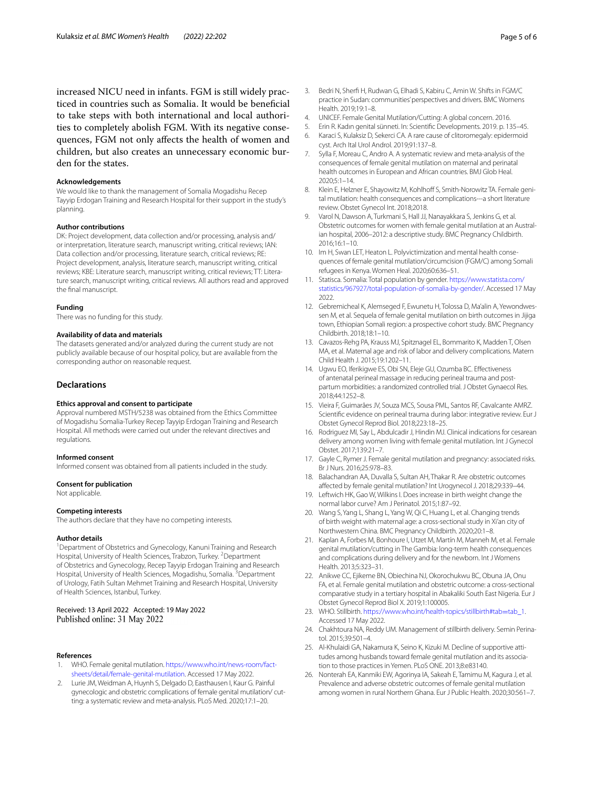increased NICU need in infants. FGM is still widely practiced in countries such as Somalia. It would be benefcial to take steps with both international and local authorities to completely abolish FGM. With its negative consequences, FGM not only afects the health of women and children, but also creates an unnecessary economic burden for the states.

#### **Acknowledgements**

We would like to thank the management of Somalia Mogadishu Recep Tayyip Erdogan Training and Research Hospital for their support in the study's planning.

#### **Author contributions**

DK: Project development, data collection and/or processing, analysis and/ or interpretation, literature search, manuscript writing, critical reviews; IAN: Data collection and/or processing, literature search, critical reviews; RE: Project development, analysis, literature search, manuscript writing, critical reviews; KBE: Literature search, manuscript writing, critical reviews; TT: Literature search, manuscript writing, critical reviews. All authors read and approved the fnal manuscript.

#### **Funding**

There was no funding for this study.

#### **Availability of data and materials**

The datasets generated and/or analyzed during the current study are not publicly available because of our hospital policy, but are available from the corresponding author on reasonable request.

#### **Declarations**

#### **Ethics approval and consent to participate**

Approval numbered MSTH/5238 was obtained from the Ethics Committee of Mogadishu Somalia-Turkey Recep Tayyip Erdogan Training and Research Hospital. All methods were carried out under the relevant directives and regulations.

#### **Informed consent**

Informed consent was obtained from all patients included in the study.

#### **Consent for publication**

Not applicable.

#### **Competing interests**

The authors declare that they have no competing interests.

#### **Author details**

<sup>1</sup> Department of Obstetrics and Gynecology, Kanuni Training and Research Hospital, University of Health Sciences, Trabzon, Turkey. <sup>2</sup> Department of Obstetrics and Gynecology, Recep Tayyip Erdogan Training and Research Hospital, University of Health Sciences, Mogadishu, Somalia. <sup>3</sup>Department of Urology, Fatih Sultan Mehmet Training and Research Hospital, University of Health Sciences, Istanbul, Turkey.

Received: 13 April 2022 Accepted: 19 May 2022 Published online: 31 May 2022

#### **References**

- <span id="page-4-0"></span>WHO. Female genital mutilation. [https://www.who.int/news-room/fact](https://www.who.int/news-room/fact-sheets/detail/female-genital-mutilation)[sheets/detail/female-genital-mutilation](https://www.who.int/news-room/fact-sheets/detail/female-genital-mutilation). Accessed 17 May 2022.
- <span id="page-4-1"></span>2. Lurie JM, Weidman A, Huynh S, Delgado D, Easthausen I, Kaur G. Painful gynecologic and obstetric complications of female genital mutilation/ cutting: a systematic review and meta-analysis. PLoS Med. 2020;17:1–20.
- <span id="page-4-3"></span><span id="page-4-2"></span>4. UNICEF. Female Genital Mutilation/Cutting: A global concern. 2016.
- <span id="page-4-4"></span>5. Erin R. Kadın genital sünneti. In: Scientifc Developments. 2019. p. 135–45.
- <span id="page-4-5"></span>6. Karaci S, Kulaksiz D, Sekerci CA. A rare cause of clitoromegaly: epidermoid cyst. Arch Ital Urol Androl. 2019;91:137–8.
- <span id="page-4-6"></span>7. Sylla F, Moreau C, Andro A. A systematic review and meta-analysis of the consequences of female genital mutilation on maternal and perinatal health outcomes in European and African countries. BMJ Glob Heal. 2020;5:1–14.
- <span id="page-4-7"></span>8. Klein E, Helzner E, Shayowitz M, Kohlhoff S, Smith-Norowitz TA. Female genital mutilation: health consequences and complications---a short literature review. Obstet Gynecol Int. 2018;2018.
- <span id="page-4-8"></span>9. Varol N, Dawson A, Turkmani S, Hall JJ, Nanayakkara S, Jenkins G, et al. Obstetric outcomes for women with female genital mutilation at an Australian hospital, 2006–2012: a descriptive study. BMC Pregnancy Childbirth. 2016;16:1–10.
- <span id="page-4-9"></span>10. Im H, Swan LET, Heaton L. Polyvictimization and mental health consequences of female genital mutilation/circumcision (FGM/C) among Somali refugees in Kenya. Women Heal. 2020;60:636–51.
- <span id="page-4-10"></span>11. Statisca. Somalia: Total population by gender. [https://www.statista.com/](https://www.statista.com/statistics/967927/total-population-of-somalia-by-gender/) [statistics/967927/total-population-of-somalia-by-gender/](https://www.statista.com/statistics/967927/total-population-of-somalia-by-gender/). Accessed 17 May 2022.
- <span id="page-4-11"></span>12. Gebremicheal K, Alemseged F, Ewunetu H, Tolossa D, Ma'alin A, Yewondwessen M, et al. Sequela of female genital mutilation on birth outcomes in Jijiga town, Ethiopian Somali region: a prospective cohort study. BMC Pregnancy Childbirth. 2018;18:1–10.
- <span id="page-4-12"></span>13. Cavazos-Rehg PA, Krauss MJ, Spitznagel EL, Bommarito K, Madden T, Olsen MA, et al. Maternal age and risk of labor and delivery complications. Matern Child Health J. 2015;19:1202–11.
- <span id="page-4-13"></span>14. Ugwu EO, Iferikigwe ES, Obi SN, Eleje GU, Ozumba BC. Efectiveness of antenatal perineal massage in reducing perineal trauma and postpartum morbidities: a randomized controlled trial. J Obstet Gynaecol Res. 2018;44:1252–8.
- <span id="page-4-14"></span>15. Vieira F, Guimarães JV, Souza MCS, Sousa PML, Santos RF, Cavalcante AMRZ. Scientifc evidence on perineal trauma during labor: integrative review. Eur J Obstet Gynecol Reprod Biol. 2018;223:18–25.
- <span id="page-4-15"></span>16. Rodriguez MI, Say L, Abdulcadir J, Hindin MJ. Clinical indications for cesarean delivery among women living with female genital mutilation. Int J Gynecol Obstet. 2017;139:21–7.
- <span id="page-4-16"></span>17. Gayle C, Rymer J. Female genital mutilation and pregnancy: associated risks. Br J Nurs. 2016;25:978–83.
- <span id="page-4-17"></span>18. Balachandran AA, Duvalla S, Sultan AH, Thakar R. Are obstetric outcomes afected by female genital mutilation? Int Urogynecol J. 2018;29:339–44.
- <span id="page-4-18"></span>19. Leftwich HK, Gao W, Wilkins I. Does increase in birth weight change the normal labor curve? Am J Perinatol. 2015;1:87–92.
- <span id="page-4-19"></span>20. Wang S, Yang L, Shang L, Yang W, Qi C, Huang L, et al. Changing trends of birth weight with maternal age: a cross-sectional study in Xi'an city of Northwestern China. BMC Pregnancy Childbirth. 2020;20:1–8.
- <span id="page-4-20"></span>21. Kaplan A, Forbes M, Bonhoure I, Utzet M, Martín M, Manneh M, et al. Female genital mutilation/cutting in The Gambia: long-term health consequences and complications during delivery and for the newborn. Int J Womens Health. 2013;5:323–31.
- <span id="page-4-21"></span>22. Anikwe CC, Ejikeme BN, Obiechina NJ, Okorochukwu BC, Obuna JA, Onu FA, et al. Female genital mutilation and obstetric outcome: a cross-sectional comparative study in a tertiary hospital in Abakaliki South East Nigeria. Eur J Obstet Gynecol Reprod Biol X. 2019;1:100005.
- <span id="page-4-22"></span>23. WHO. Stillbirth. [https://www.who.int/health-topics/stillbirth#tab](https://www.who.int/health-topics/stillbirth#tab=tab_1)=tab\_1. Accessed 17 May 2022.
- <span id="page-4-23"></span>24. Chakhtoura NA, Reddy UM. Management of stillbirth delivery. Semin Perinatol. 2015;39:501–4.
- <span id="page-4-24"></span>25. Al-Khulaidi GA, Nakamura K, Seino K, Kizuki M. Decline of supportive attitudes among husbands toward female genital mutilation and its association to those practices in Yemen. PLoS ONE. 2013;8:e83140.
- 26. Nonterah EA, Kanmiki EW, Agorinya IA, Sakeah E, Tamimu M, Kagura J, et al. Prevalence and adverse obstetric outcomes of female genital mutilation among women in rural Northern Ghana. Eur J Public Health. 2020;30:561–7.